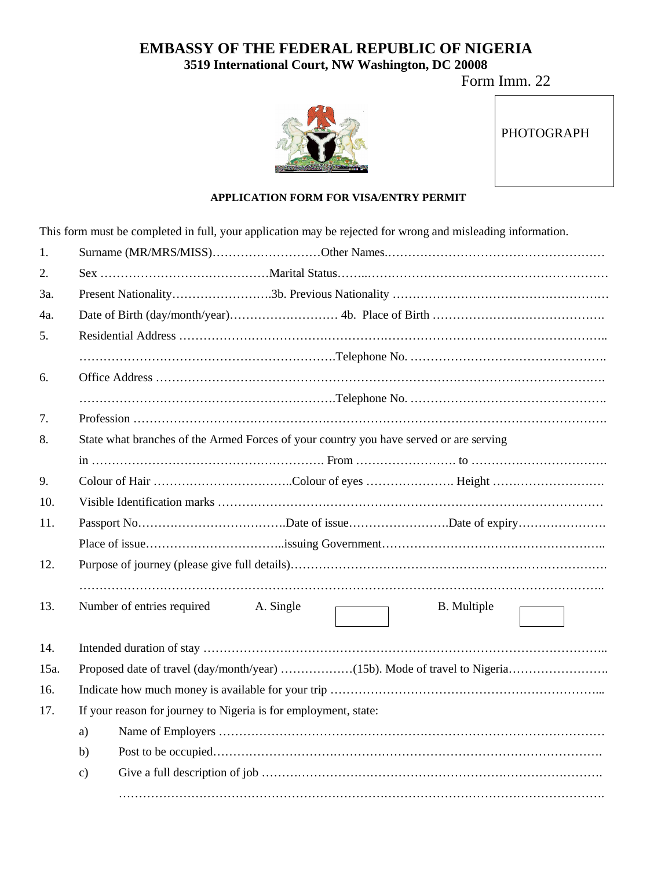## **EMBASSY OF THE FEDERAL REPUBLIC OF NIGERIA 3519 International Court, NW Washington, DC 20008**

Form Imm. 22



## **APPLICATION FORM FOR VISA/ENTRY PERMIT**

This form must be completed in full, your application may be rejected for wrong and misleading information.

| 1.   |                                                                                        |  |  |  |  |
|------|----------------------------------------------------------------------------------------|--|--|--|--|
| 2.   |                                                                                        |  |  |  |  |
| 3a.  |                                                                                        |  |  |  |  |
| 4a.  |                                                                                        |  |  |  |  |
| 5.   |                                                                                        |  |  |  |  |
|      |                                                                                        |  |  |  |  |
| 6.   |                                                                                        |  |  |  |  |
|      |                                                                                        |  |  |  |  |
| 7.   |                                                                                        |  |  |  |  |
| 8.   | State what branches of the Armed Forces of your country you have served or are serving |  |  |  |  |
|      |                                                                                        |  |  |  |  |
| 9.   |                                                                                        |  |  |  |  |
| 10.  |                                                                                        |  |  |  |  |
| 11.  |                                                                                        |  |  |  |  |
|      |                                                                                        |  |  |  |  |
| 12.  |                                                                                        |  |  |  |  |
|      |                                                                                        |  |  |  |  |
| 13.  | Number of entries required<br>A. Single<br><b>B.</b> Multiple                          |  |  |  |  |
|      |                                                                                        |  |  |  |  |
| 14.  |                                                                                        |  |  |  |  |
| 15a. |                                                                                        |  |  |  |  |
| 16.  |                                                                                        |  |  |  |  |
| 17.  | If your reason for journey to Nigeria is for employment, state:                        |  |  |  |  |
|      | a)                                                                                     |  |  |  |  |
|      | b)                                                                                     |  |  |  |  |
|      | $\mathbf{c})$                                                                          |  |  |  |  |
|      |                                                                                        |  |  |  |  |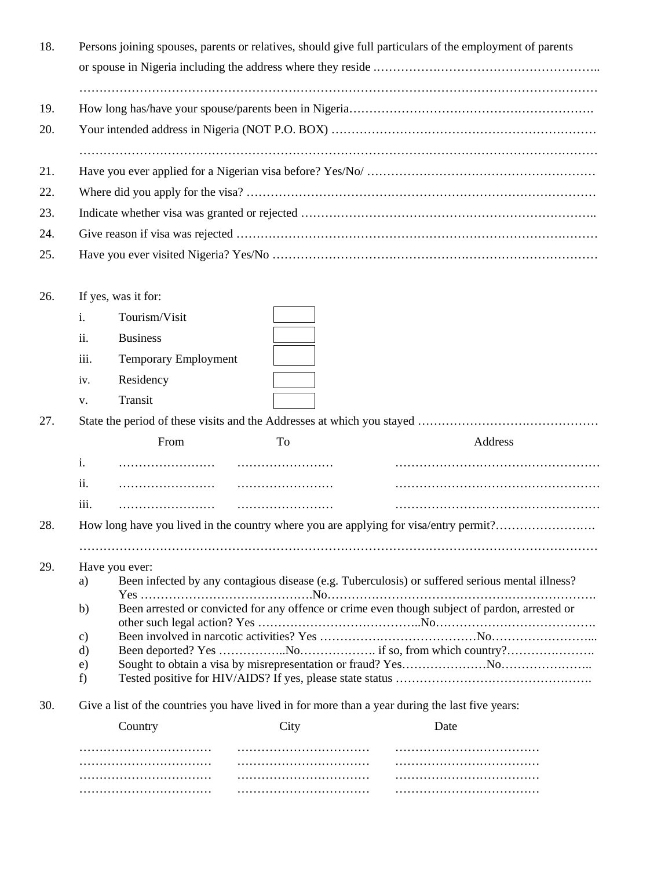| 18. |                |                                                                                                                         |      | Persons joining spouses, parents or relatives, should give full particulars of the employment of parents |  |  |  |
|-----|----------------|-------------------------------------------------------------------------------------------------------------------------|------|----------------------------------------------------------------------------------------------------------|--|--|--|
| 19. |                |                                                                                                                         |      |                                                                                                          |  |  |  |
| 20. |                |                                                                                                                         |      |                                                                                                          |  |  |  |
| 21. |                |                                                                                                                         |      |                                                                                                          |  |  |  |
| 22. |                |                                                                                                                         |      |                                                                                                          |  |  |  |
| 23. |                |                                                                                                                         |      |                                                                                                          |  |  |  |
| 24. |                |                                                                                                                         |      |                                                                                                          |  |  |  |
| 25. |                |                                                                                                                         |      |                                                                                                          |  |  |  |
|     |                |                                                                                                                         |      |                                                                                                          |  |  |  |
| 26. |                | If yes, was it for:                                                                                                     |      |                                                                                                          |  |  |  |
|     | i.             | Tourism/Visit                                                                                                           |      |                                                                                                          |  |  |  |
|     | ii.            | <b>Business</b>                                                                                                         |      |                                                                                                          |  |  |  |
|     |                |                                                                                                                         |      |                                                                                                          |  |  |  |
|     | iii.           | <b>Temporary Employment</b>                                                                                             |      |                                                                                                          |  |  |  |
|     | iv.            | Residency                                                                                                               |      |                                                                                                          |  |  |  |
|     | V.             | Transit                                                                                                                 |      |                                                                                                          |  |  |  |
| 27. |                |                                                                                                                         |      |                                                                                                          |  |  |  |
|     |                | From                                                                                                                    | To   | Address                                                                                                  |  |  |  |
|     | i.             |                                                                                                                         |      |                                                                                                          |  |  |  |
|     | ii.            |                                                                                                                         |      |                                                                                                          |  |  |  |
|     | iii.           |                                                                                                                         |      |                                                                                                          |  |  |  |
| 28. |                | How long have you lived in the country where you are applying for visa/entry permit?                                    |      |                                                                                                          |  |  |  |
|     |                |                                                                                                                         |      |                                                                                                          |  |  |  |
| 29. |                | Have you ever:<br>Been infected by any contagious disease (e.g. Tuberculosis) or suffered serious mental illness?<br>a) |      |                                                                                                          |  |  |  |
|     |                |                                                                                                                         |      |                                                                                                          |  |  |  |
|     | b)             | Been arrested or convicted for any offence or crime even though subject of pardon, arrested or                          |      |                                                                                                          |  |  |  |
|     | $\mathbf{c})$  |                                                                                                                         |      |                                                                                                          |  |  |  |
|     | $\rm d)$<br>e) |                                                                                                                         |      |                                                                                                          |  |  |  |
|     | f)             |                                                                                                                         |      |                                                                                                          |  |  |  |
| 30. |                | Give a list of the countries you have lived in for more than a year during the last five years:                         |      |                                                                                                          |  |  |  |
|     |                | Country                                                                                                                 | City | Date                                                                                                     |  |  |  |
|     |                |                                                                                                                         |      |                                                                                                          |  |  |  |
|     |                |                                                                                                                         |      |                                                                                                          |  |  |  |
|     |                |                                                                                                                         |      |                                                                                                          |  |  |  |

…………………………… …………………………… ………………………………